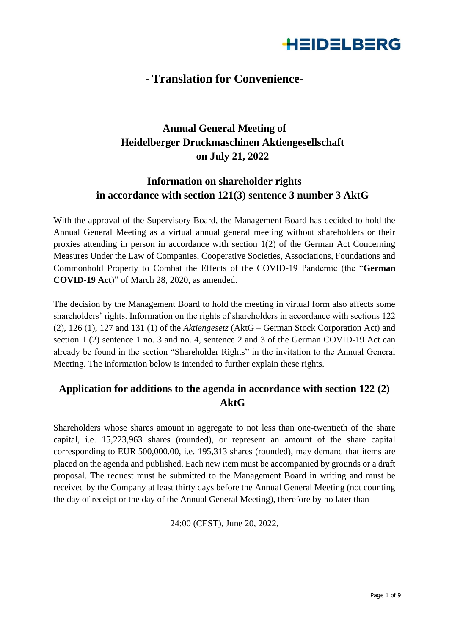

## **- Translation for Convenience-**

# **Annual General Meeting of Heidelberger Druckmaschinen Aktiengesellschaft on July 21, 2022**

### **Information on shareholder rights in accordance with section 121(3) sentence 3 number 3 AktG**

With the approval of the Supervisory Board, the Management Board has decided to hold the Annual General Meeting as a virtual annual general meeting without shareholders or their proxies attending in person in accordance with section 1(2) of the German Act Concerning Measures Under the Law of Companies, Cooperative Societies, Associations, Foundations and Commonhold Property to Combat the Effects of the COVID-19 Pandemic (the "**German COVID-19 Act**)" of March 28, 2020, as amended.

The decision by the Management Board to hold the meeting in virtual form also affects some shareholders' rights. Information on the rights of shareholders in accordance with sections 122 (2), 126 (1), 127 and 131 (1) of the *Aktiengesetz* (AktG – German Stock Corporation Act) and section 1 (2) sentence 1 no. 3 and no. 4, sentence 2 and 3 of the German COVID-19 Act can already be found in the section "Shareholder Rights" in the invitation to the Annual General Meeting. The information below is intended to further explain these rights.

### **Application for additions to the agenda in accordance with section 122 (2) AktG**

Shareholders whose shares amount in aggregate to not less than one-twentieth of the share capital, i.e. 15,223,963 shares (rounded), or represent an amount of the share capital corresponding to EUR 500,000.00, i.e. 195,313 shares (rounded), may demand that items are placed on the agenda and published. Each new item must be accompanied by grounds or a draft proposal. The request must be submitted to the Management Board in writing and must be received by the Company at least thirty days before the Annual General Meeting (not counting the day of receipt or the day of the Annual General Meeting), therefore by no later than

24:00 (CEST), June 20, 2022,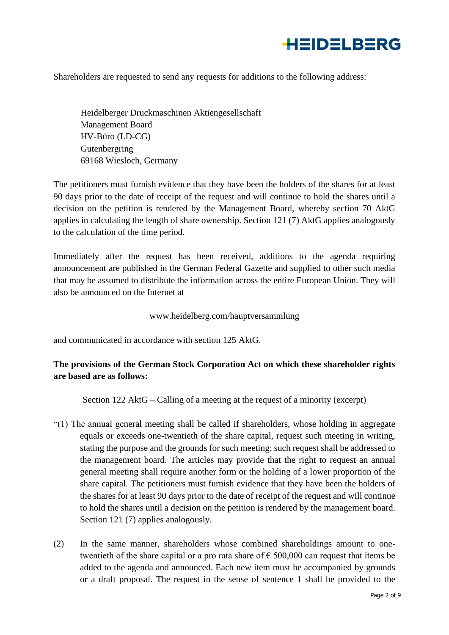

Shareholders are requested to send any requests for additions to the following address:

Heidelberger Druckmaschinen Aktiengesellschaft Management Board HV-Büro (LD-CG) Gutenbergring 69168 Wiesloch, Germany

The petitioners must furnish evidence that they have been the holders of the shares for at least 90 days prior to the date of receipt of the request and will continue to hold the shares until a decision on the petition is rendered by the Management Board, whereby section 70 AktG applies in calculating the length of share ownership. Section 121 (7) AktG applies analogously to the calculation of the time period.

Immediately after the request has been received, additions to the agenda requiring announcement are published in the German Federal Gazette and supplied to other such media that may be assumed to distribute the information across the entire European Union. They will also be announced on the Internet at

#### www.heidelberg.com/hauptversammlung

and communicated in accordance with section 125 AktG.

### **The provisions of the German Stock Corporation Act on which these shareholder rights are based are as follows:**

Section 122 AktG – Calling of a meeting at the request of a minority (excerpt)

- "(1) The annual general meeting shall be called if shareholders, whose holding in aggregate equals or exceeds one-twentieth of the share capital, request such meeting in writing, stating the purpose and the grounds for such meeting; such request shall be addressed to the management board. The articles may provide that the right to request an annual general meeting shall require another form or the holding of a lower proportion of the share capital. The petitioners must furnish evidence that they have been the holders of the shares for at least 90 days prior to the date of receipt of the request and will continue to hold the shares until a decision on the petition is rendered by the management board. Section 121 (7) applies analogously.
- (2) In the same manner, shareholders whose combined shareholdings amount to onetwentieth of the share capital or a pro rata share of  $\epsilon$  500,000 can request that items be added to the agenda and announced. Each new item must be accompanied by grounds or a draft proposal. The request in the sense of sentence 1 shall be provided to the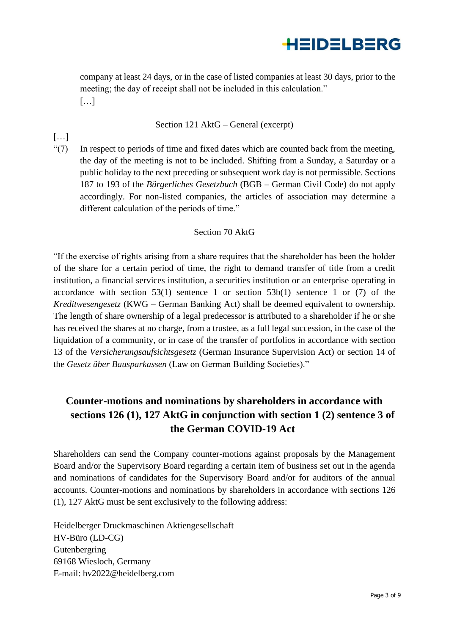

company at least 24 days, or in the case of listed companies at least 30 days, prior to the meeting; the day of receipt shall not be included in this calculation." […]

#### Section 121 AktG – General (excerpt)

"(7) In respect to periods of time and fixed dates which are counted back from the meeting, the day of the meeting is not to be included. Shifting from a Sunday, a Saturday or a public holiday to the next preceding or subsequent work day is not permissible. Sections 187 to 193 of the *Bürgerliches Gesetzbuch* (BGB – German Civil Code) do not apply accordingly. For non-listed companies, the articles of association may determine a different calculation of the periods of time."

#### Section 70 AktG

"If the exercise of rights arising from a share requires that the shareholder has been the holder of the share for a certain period of time, the right to demand transfer of title from a credit institution, a financial services institution, a securities institution or an enterprise operating in accordance with section  $53(1)$  sentence 1 or section  $53b(1)$  sentence 1 or (7) of the *Kreditwesengesetz* (KWG – German Banking Act) shall be deemed equivalent to ownership. The length of share ownership of a legal predecessor is attributed to a shareholder if he or she has received the shares at no charge, from a trustee, as a full legal succession, in the case of the liquidation of a community, or in case of the transfer of portfolios in accordance with section 13 of the *Versicherungsaufsichtsgesetz* (German Insurance Supervision Act) or section 14 of the *Gesetz über Bausparkassen* (Law on German Building Societies)."

### **Counter-motions and nominations by shareholders in accordance with sections 126 (1), 127 AktG in conjunction with section 1 (2) sentence 3 of the German COVID-19 Act**

Shareholders can send the Company counter-motions against proposals by the Management Board and/or the Supervisory Board regarding a certain item of business set out in the agenda and nominations of candidates for the Supervisory Board and/or for auditors of the annual accounts. Counter-motions and nominations by shareholders in accordance with sections 126 (1), 127 AktG must be sent exclusively to the following address:

Heidelberger Druckmaschinen Aktiengesellschaft HV-Büro (LD-CG) Gutenbergring 69168 Wiesloch, Germany E-mail: hv2022@heidelberg.com

 $\lceil$ ...]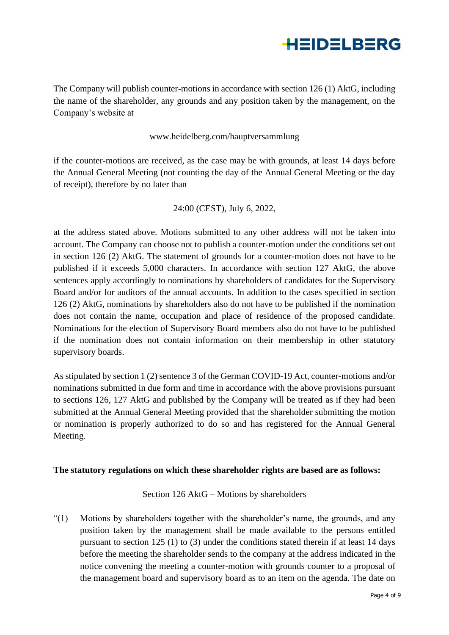

The Company will publish counter-motions in accordance with section 126 (1) AktG, including the name of the shareholder, any grounds and any position taken by the management, on the Company's website at

#### www.heidelberg.com/hauptversammlung

if the counter-motions are received, as the case may be with grounds, at least 14 days before the Annual General Meeting (not counting the day of the Annual General Meeting or the day of receipt), therefore by no later than

#### 24:00 (CEST), July 6, 2022,

at the address stated above. Motions submitted to any other address will not be taken into account. The Company can choose not to publish a counter-motion under the conditions set out in section 126 (2) AktG. The statement of grounds for a counter-motion does not have to be published if it exceeds 5,000 characters. In accordance with section 127 AktG, the above sentences apply accordingly to nominations by shareholders of candidates for the Supervisory Board and/or for auditors of the annual accounts. In addition to the cases specified in section 126 (2) AktG, nominations by shareholders also do not have to be published if the nomination does not contain the name, occupation and place of residence of the proposed candidate. Nominations for the election of Supervisory Board members also do not have to be published if the nomination does not contain information on their membership in other statutory supervisory boards.

As stipulated by section 1 (2) sentence 3 of the German COVID-19 Act, counter-motions and/or nominations submitted in due form and time in accordance with the above provisions pursuant to sections 126, 127 AktG and published by the Company will be treated as if they had been submitted at the Annual General Meeting provided that the shareholder submitting the motion or nomination is properly authorized to do so and has registered for the Annual General Meeting.

#### **The statutory regulations on which these shareholder rights are based are as follows:**

Section 126 AktG – Motions by shareholders

"(1) Motions by shareholders together with the shareholder's name, the grounds, and any position taken by the management shall be made available to the persons entitled pursuant to section 125 (1) to (3) under the conditions stated therein if at least 14 days before the meeting the shareholder sends to the company at the address indicated in the notice convening the meeting a counter-motion with grounds counter to a proposal of the management board and supervisory board as to an item on the agenda. The date on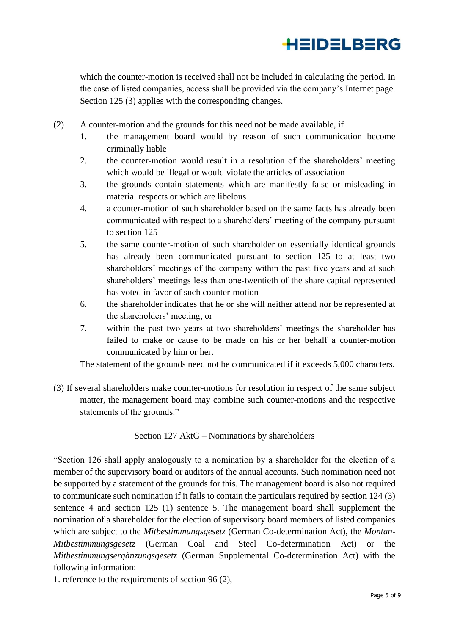

which the counter-motion is received shall not be included in calculating the period. In the case of listed companies, access shall be provided via the company's Internet page. Section 125 (3) applies with the corresponding changes.

- (2) A counter-motion and the grounds for this need not be made available, if
	- 1. the management board would by reason of such communication become criminally liable
	- 2. the counter-motion would result in a resolution of the shareholders' meeting which would be illegal or would violate the articles of association
	- 3. the grounds contain statements which are manifestly false or misleading in material respects or which are libelous
	- 4. a counter-motion of such shareholder based on the same facts has already been communicated with respect to a shareholders' meeting of the company pursuant to section 125
	- 5. the same counter-motion of such shareholder on essentially identical grounds has already been communicated pursuant to section 125 to at least two shareholders' meetings of the company within the past five years and at such shareholders' meetings less than one-twentieth of the share capital represented has voted in favor of such counter-motion
	- 6. the shareholder indicates that he or she will neither attend nor be represented at the shareholders' meeting, or
	- 7. within the past two years at two shareholders' meetings the shareholder has failed to make or cause to be made on his or her behalf a counter-motion communicated by him or her.

The statement of the grounds need not be communicated if it exceeds 5,000 characters.

(3) If several shareholders make counter-motions for resolution in respect of the same subject matter, the management board may combine such counter-motions and the respective statements of the grounds."

Section 127 AktG – Nominations by shareholders

"Section 126 shall apply analogously to a nomination by a shareholder for the election of a member of the supervisory board or auditors of the annual accounts. Such nomination need not be supported by a statement of the grounds for this. The management board is also not required to communicate such nomination if it fails to contain the particulars required by section 124 (3) sentence 4 and section 125 (1) sentence 5. The management board shall supplement the nomination of a shareholder for the election of supervisory board members of listed companies which are subject to the *Mitbestimmungsgesetz* (German Co-determination Act), the *Montan-Mitbestimmungsgesetz* (German Coal and Steel Co-determination Act) or the *Mitbestimmungsergänzungsgesetz* (German Supplemental Co-determination Act) with the following information:

1. reference to the requirements of section 96 (2),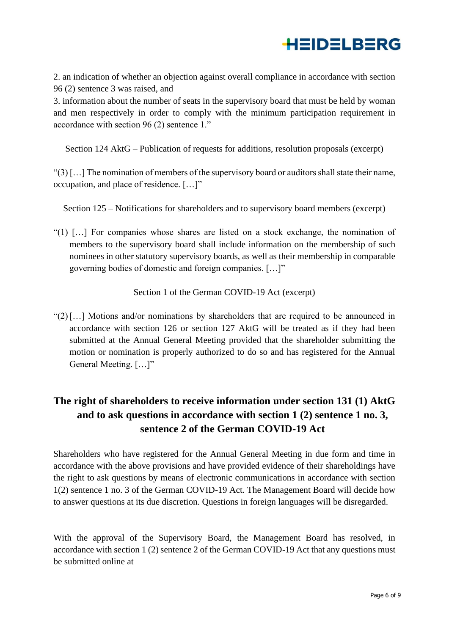

2. an indication of whether an objection against overall compliance in accordance with section 96 (2) sentence 3 was raised, and

3. information about the number of seats in the supervisory board that must be held by woman and men respectively in order to comply with the minimum participation requirement in accordance with section 96 (2) sentence 1."

Section 124 AktG – Publication of requests for additions, resolution proposals (excerpt)

"(3) […] The nomination of members of the supervisory board or auditors shall state their name, occupation, and place of residence. […]"

Section 125 – Notifications for shareholders and to supervisory board members (excerpt)

"(1)  $\left[ \ldots \right]$  For companies whose shares are listed on a stock exchange, the nomination of members to the supervisory board shall include information on the membership of such nominees in other statutory supervisory boards, as well as their membership in comparable governing bodies of domestic and foreign companies. […]"

Section 1 of the German COVID-19 Act (excerpt)

"(2)[…] Motions and/or nominations by shareholders that are required to be announced in accordance with section 126 or section 127 AktG will be treated as if they had been submitted at the Annual General Meeting provided that the shareholder submitting the motion or nomination is properly authorized to do so and has registered for the Annual General Meeting. [...]"

## **The right of shareholders to receive information under section 131 (1) AktG and to ask questions in accordance with section 1 (2) sentence 1 no. 3, sentence 2 of the German COVID-19 Act**

Shareholders who have registered for the Annual General Meeting in due form and time in accordance with the above provisions and have provided evidence of their shareholdings have the right to ask questions by means of electronic communications in accordance with section 1(2) sentence 1 no. 3 of the German COVID-19 Act. The Management Board will decide how to answer questions at its due discretion. Questions in foreign languages will be disregarded.

With the approval of the Supervisory Board, the Management Board has resolved, in accordance with section 1 (2) sentence 2 of the German COVID-19 Act that any questions must be submitted online at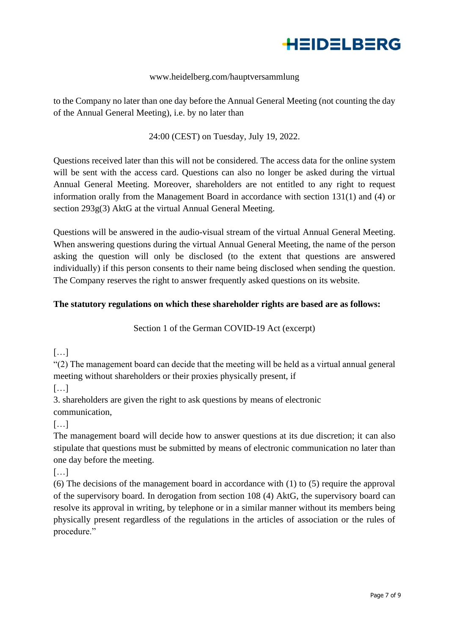

#### www.heidelberg.com/hauptversammlung

to the Company no later than one day before the Annual General Meeting (not counting the day of the Annual General Meeting), i.e. by no later than

#### 24:00 (CEST) on Tuesday, July 19, 2022.

Questions received later than this will not be considered. The access data for the online system will be sent with the access card. Questions can also no longer be asked during the virtual Annual General Meeting. Moreover, shareholders are not entitled to any right to request information orally from the Management Board in accordance with section 131(1) and (4) or section 293g(3) AktG at the virtual Annual General Meeting.

Questions will be answered in the audio-visual stream of the virtual Annual General Meeting. When answering questions during the virtual Annual General Meeting, the name of the person asking the question will only be disclosed (to the extent that questions are answered individually) if this person consents to their name being disclosed when sending the question. The Company reserves the right to answer frequently asked questions on its website.

#### **The statutory regulations on which these shareholder rights are based are as follows:**

Section 1 of the German COVID-19 Act (excerpt)

 $[...]$ 

"(2) The management board can decide that the meeting will be held as a virtual annual general meeting without shareholders or their proxies physically present, if

[…]

3. shareholders are given the right to ask questions by means of electronic communication,

[…]

The management board will decide how to answer questions at its due discretion; it can also stipulate that questions must be submitted by means of electronic communication no later than one day before the meeting.

[…]

(6) The decisions of the management board in accordance with (1) to (5) require the approval of the supervisory board. In derogation from section 108 (4) AktG, the supervisory board can resolve its approval in writing, by telephone or in a similar manner without its members being physically present regardless of the regulations in the articles of association or the rules of procedure."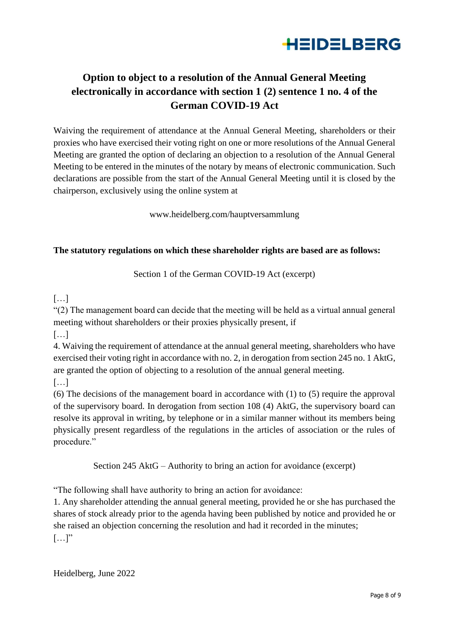

# **Option to object to a resolution of the Annual General Meeting electronically in accordance with section 1 (2) sentence 1 no. 4 of the German COVID-19 Act**

Waiving the requirement of attendance at the Annual General Meeting, shareholders or their proxies who have exercised their voting right on one or more resolutions of the Annual General Meeting are granted the option of declaring an objection to a resolution of the Annual General Meeting to be entered in the minutes of the notary by means of electronic communication. Such declarations are possible from the start of the Annual General Meeting until it is closed by the chairperson, exclusively using the online system at

www.heidelberg.com/hauptversammlung

#### **The statutory regulations on which these shareholder rights are based are as follows:**

Section 1 of the German COVID-19 Act (excerpt)

### $[\ldots]$

"(2) The management board can decide that the meeting will be held as a virtual annual general meeting without shareholders or their proxies physically present, if

[…]

4. Waiving the requirement of attendance at the annual general meeting, shareholders who have exercised their voting right in accordance with no. 2, in derogation from section 245 no. 1 AktG, are granted the option of objecting to a resolution of the annual general meeting.

[…]

(6) The decisions of the management board in accordance with (1) to (5) require the approval of the supervisory board. In derogation from section 108 (4) AktG, the supervisory board can resolve its approval in writing, by telephone or in a similar manner without its members being physically present regardless of the regulations in the articles of association or the rules of procedure."

Section 245 AktG – Authority to bring an action for avoidance (excerpt)

"The following shall have authority to bring an action for avoidance:

1. Any shareholder attending the annual general meeting, provided he or she has purchased the shares of stock already prior to the agenda having been published by notice and provided he or she raised an objection concerning the resolution and had it recorded in the minutes;  $[\dots]$ "